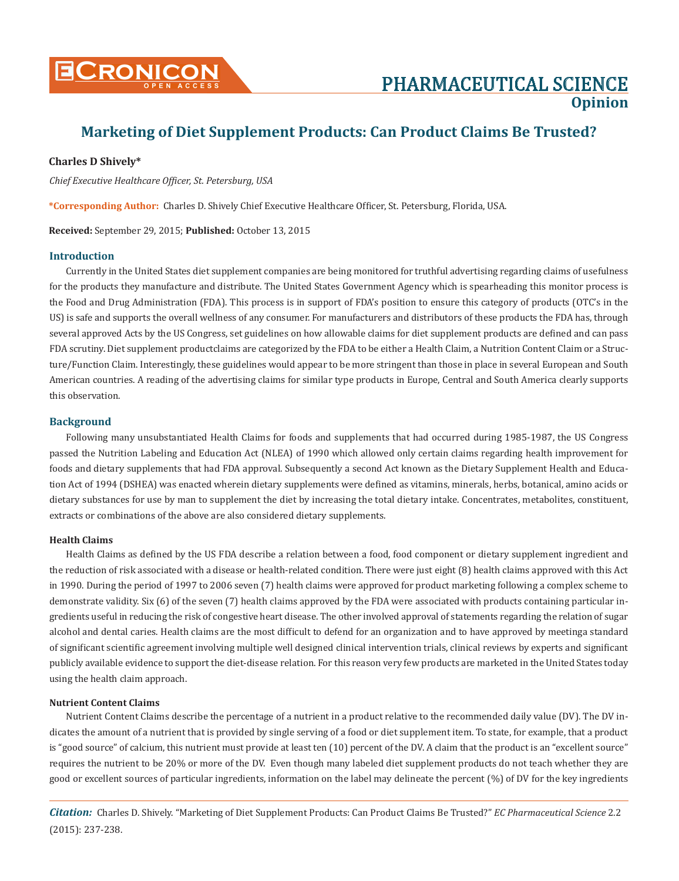

# **Marketing of Diet Supplement Products: Can Product Claims Be Trusted?**

# **Charles D Shively\***

*Chief Executive Healthcare Officer, St. Petersburg, USA*

**\*Corresponding Author:** Charles D. Shively Chief Executive Healthcare Officer, St. Petersburg, Florida, USA.

**Received:** September 29, 2015; **Published:** October 13, 2015

## **Introduction**

Currently in the United States diet supplement companies are being monitored for truthful advertising regarding claims of usefulness for the products they manufacture and distribute. The United States Government Agency which is spearheading this monitor process is the Food and Drug Administration (FDA). This process is in support of FDA's position to ensure this category of products (OTC's in the US) is safe and supports the overall wellness of any consumer. For manufacturers and distributors of these products the FDA has, through several approved Acts by the US Congress, set guidelines on how allowable claims for diet supplement products are defined and can pass FDA scrutiny. Diet supplement productclaims are categorized by the FDA to be either a Health Claim, a Nutrition Content Claim or a Structure/Function Claim. Interestingly, these guidelines would appear to be more stringent than those in place in several European and South American countries. A reading of the advertising claims for similar type products in Europe, Central and South America clearly supports this observation.

# **Background**

Following many unsubstantiated Health Claims for foods and supplements that had occurred during 1985-1987, the US Congress passed the Nutrition Labeling and Education Act (NLEA) of 1990 which allowed only certain claims regarding health improvement for foods and dietary supplements that had FDA approval. Subsequently a second Act known as the Dietary Supplement Health and Education Act of 1994 (DSHEA) was enacted wherein dietary supplements were defined as vitamins, minerals, herbs, botanical, amino acids or dietary substances for use by man to supplement the diet by increasing the total dietary intake. Concentrates, metabolites, constituent, extracts or combinations of the above are also considered dietary supplements.

## **Health Claims**

Health Claims as defined by the US FDA describe a relation between a food, food component or dietary supplement ingredient and the reduction of risk associated with a disease or health-related condition. There were just eight (8) health claims approved with this Act in 1990. During the period of 1997 to 2006 seven (7) health claims were approved for product marketing following a complex scheme to demonstrate validity. Six (6) of the seven (7) health claims approved by the FDA were associated with products containing particular ingredients useful in reducing the risk of congestive heart disease. The other involved approval of statements regarding the relation of sugar alcohol and dental caries. Health claims are the most difficult to defend for an organization and to have approved by meetinga standard of significant scientific agreement involving multiple well designed clinical intervention trials, clinical reviews by experts and significant publicly available evidence to support the diet-disease relation. For this reason very few products are marketed in the United States today using the health claim approach.

## **Nutrient Content Claims**

Nutrient Content Claims describe the percentage of a nutrient in a product relative to the recommended daily value (DV). The DV indicates the amount of a nutrient that is provided by single serving of a food or diet supplement item. To state, for example, that a product is "good source" of calcium, this nutrient must provide at least ten (10) percent of the DV. A claim that the product is an "excellent source" requires the nutrient to be 20% or more of the DV. Even though many labeled diet supplement products do not teach whether they are good or excellent sources of particular ingredients, information on the label may delineate the percent (%) of DV for the key ingredients

*Citation:* Charles D. Shively. "Marketing of Diet Supplement Products: Can Product Claims Be Trusted?" *EC Pharmaceutical Science* 2.2 (2015): 237-238.